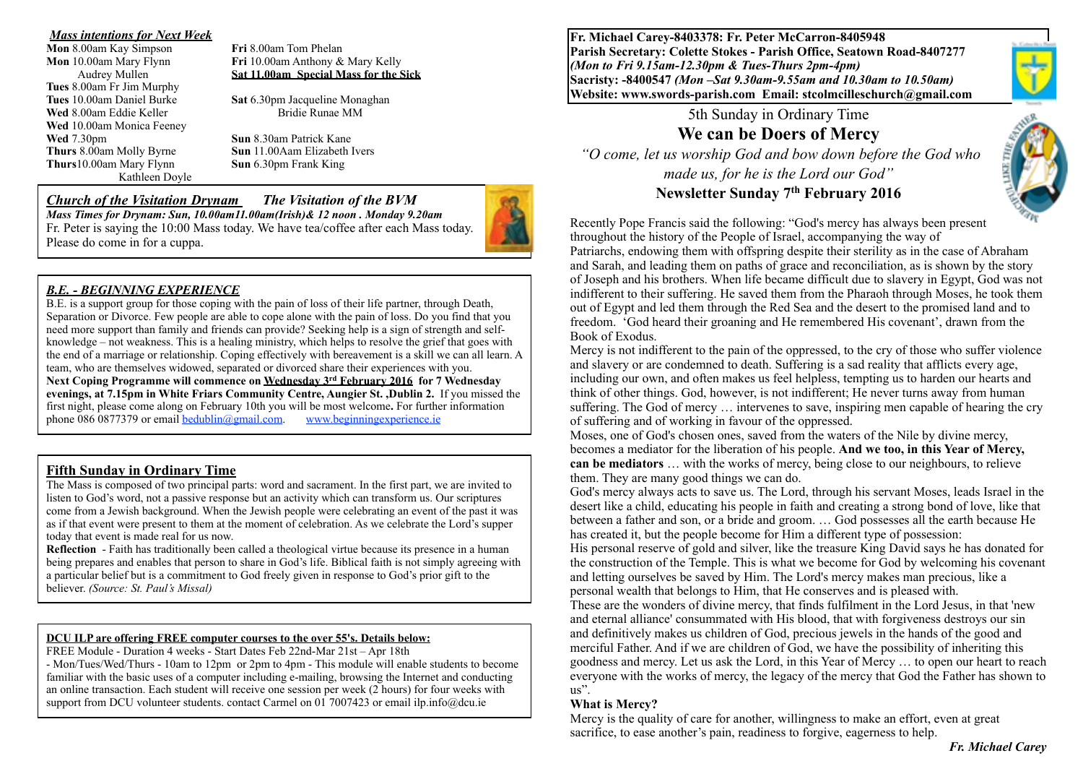# *Mass intentions for Next Week*

**Mon 8.00am Kay Simpson Tues** 8.00am Fr Jim Murphy **Wed** 8.00am Eddie Keller **Bridie Runae MM Wed** 10.00am Monica Feeney **Wed** 7.30pm **Sun 8.30am Patrick Kane Thurs**10.00am Mary Flynn **Sun** 6.30pm Frank King Kathleen Doyle

**Mon** 10.00am Mary Flynn **Fri** 10.00am Anthony & Mary Kelly Audrey Mullen **Sat 11.00am Special Mass for the Sick**

**Tues** 10.00am Daniel Burke **Sat** 6.30pm Jacqueline Monaghan

**Thurs** 8.00am Molly Byrne **Sun** 11.00Aam Elizabeth Ivers

# *Church of the Visitation Drynam**The Visitation of the BVM*

*Mass Times for Drynam: Sun, 10.00am11.00am(Irish)& 12 noon . Monday 9.20am*  Fr. Peter is saying the 10:00 Mass today. We have tea/coffee after each Mass today. Please do come in for a cuppa.



B.E. is a support group for those coping with the pain of loss of their life partner, through Death, Separation or Divorce. Few people are able to cope alone with the pain of loss. Do you find that you need more support than family and friends can provide? Seeking help is a sign of strength and selfknowledge – not weakness. This is a healing ministry, which helps to resolve the grief that goes with the end of a marriage or relationship. Coping effectively with bereavement is a skill we can all learn. A team, who are themselves widowed, separated or divorced share their experiences with you. **Next Coping Programme will commence on Wednesday 3rd February 2016 for 7 Wednesday evenings, at 7.15pm in White Friars Community Centre, Aungier St. ,Dublin 2.** If you missed the first night, please come along on February 10th you will be most welcome**.** For further information phone  $0860877379$  or email [bedublin@gmail.com.](mailto:bedublin@gmail.com) [www.beginningexperience.ie](http://www.beginningexperience.ie)

## **Fifth Sunday in Ordinary Time**

The Mass is composed of two principal parts: word and sacrament. In the first part, we are invited to listen to God's word, not a passive response but an activity which can transform us. Our scriptures come from a Jewish background. When the Jewish people were celebrating an event of the past it was as if that event were present to them at the moment of celebration. As we celebrate the Lord's supper today that event is made real for us now.

**Reflection** - Faith has traditionally been called a theological virtue because its presence in a human being prepares and enables that person to share in God's life. Biblical faith is not simply agreeing with a particular belief but is a commitment to God freely given in response to God's prior gift to the believer. *(Source: St. Paul's Missal)*

#### **DCU ILP are offering FREE computer courses to the over 55's. Details below:**

FREE Module - Duration 4 weeks - Start Dates Feb 22nd-Mar 21st – Apr 18th

- Mon/Tues/Wed/Thurs - 10am to 12pm or 2pm to 4pm - This module will enable students to become familiar with the basic uses of a computer including e-mailing, browsing the Internet and conducting an online transaction. Each student will receive one session per week (2 hours) for four weeks with support from DCU volunteer students. contact Carmel on 01 7007423 or email ilp.info@dcu.ie

**Fr. Michael Carey-8403378: Fr. Peter McCarron-8405948 Parish Secretary: Colette Stokes - Parish Office, Seatown Road-8407277**  *(Mon to Fri 9.15am-12.30pm & Tues-Thurs 2pm-4pm)*  **Sacristy: -8400547** *(Mon –Sat 9.30am-9.55am and 10.30am to 10.50am)* **Website: [www.swords-parish.com Email:](http://www.swords-parish.com%20%20email) stcolmcilleschurch@gmail.com**

> 5th Sunday in Ordinary Time **We can be Doers of Mercy**

 *"O come, let us worship God and bow down before the God who made us, for he is the Lord our God"*  **Newsletter Sunday 7th February 2016** 



Recently Pope Francis said the following: "God's mercy has always been present throughout the history of the People of Israel, accompanying the way of

Patriarchs, endowing them with offspring despite their sterility as in the case of Abraham and Sarah, and leading them on paths of grace and reconciliation, as is shown by the story of Joseph and his brothers. When life became difficult due to slavery in Egypt, God was not indifferent to their suffering. He saved them from the Pharaoh through Moses, he took them out of Egypt and led them through the Red Sea and the desert to the promised land and to freedom. 'God heard their groaning and He remembered His covenant', drawn from the Book of Exodus.

Mercy is not indifferent to the pain of the oppressed, to the cry of those who suffer violence and slavery or are condemned to death. Suffering is a sad reality that afflicts every age, including our own, and often makes us feel helpless, tempting us to harden our hearts and think of other things. God, however, is not indifferent; He never turns away from human suffering. The God of mercy … intervenes to save, inspiring men capable of hearing the cry of suffering and of working in favour of the oppressed.

Moses, one of God's chosen ones, saved from the waters of the Nile by divine mercy, becomes a mediator for the liberation of his people. **And we too, in this Year of Mercy, can be mediators** … with the works of mercy, being close to our neighbours, to relieve them. They are many good things we can do.

God's mercy always acts to save us. The Lord, through his servant Moses, leads Israel in the desert like a child, educating his people in faith and creating a strong bond of love, like that between a father and son, or a bride and groom. … God possesses all the earth because He has created it, but the people become for Him a different type of possession:

His personal reserve of gold and silver, like the treasure King David says he has donated for the construction of the Temple. This is what we become for God by welcoming his covenant and letting ourselves be saved by Him. The Lord's mercy makes man precious, like a personal wealth that belongs to Him, that He conserves and is pleased with.

These are the wonders of divine mercy, that finds fulfilment in the Lord Jesus, in that 'new and eternal alliance' consummated with His blood, that with forgiveness destroys our sin and definitively makes us children of God, precious jewels in the hands of the good and merciful Father. And if we are children of God, we have the possibility of inheriting this goodness and mercy. Let us ask the Lord, in this Year of Mercy … to open our heart to reach everyone with the works of mercy, the legacy of the mercy that God the Father has shown to us".

## **What is Mercy?**

Mercy is the quality of care for another, willingness to make an effort, even at great sacrifice, to ease another's pain, readiness to forgive, eagerness to help.